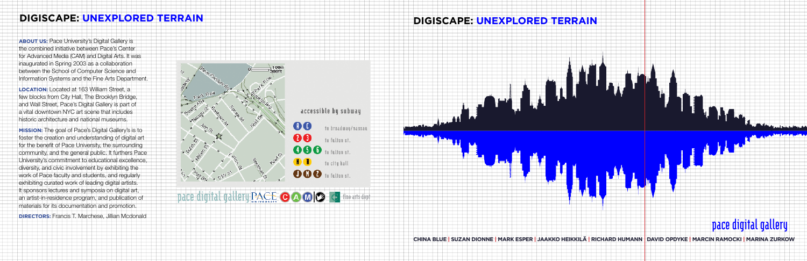# **pace digital gallery**



**ABOUT US:** Pace University's Digital Gallery is the combined initiative between Pace's Center for Advanced Media (CAM) and Digital Arts. It was inaugurated in Spring 2003 as a collaboration between the School of Computer Science and Information Systems and the Fine Arts Department.

**Location:** Located at 163 William Street, a few blocks from City Hall, The Brooklyn Bridge, and Wall Street, Pace's Digital Gallery is part of a vital downtown NYC art scene that includes historic architecture and national museums.

**Mission:** The goal of Pace's Digital Gallery's is to foster the creation and understanding of digital art for the benefit of Pace University, the surrounding community, and the general public. It furthers Pace University's commitment to educational excellence, diversity, and civic involvement by exhibiting the work of Pace faculty and students, and regularly exhibiting curated work of leading digital artists. It sponsors lectures and symposia on digital art, an artist-in-residence program, and publication of materials for its documentation and promotion. **Directors:** Francis T. Marchese, Jillian Mcdonald

## **DIGISCAPE: UNEXPLORED TERRAIN**

\$Y

**China Blue | Suzan Dionne | Mark Esper | Jaakko HeikkilÄ | Richard Humann David Opdyke | Marcin Ramocki | Marina ZUrkoW**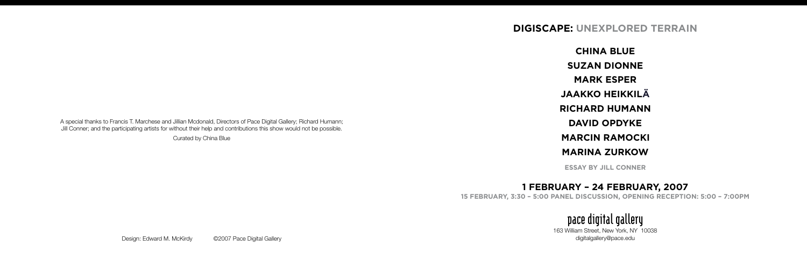# **DIGISCAPE: UNEXPLORED TERRAIN**



- **China Blue**
- **Suzan Dionne**
- **Mark Esper**
- **Jaakko HeikkilÄ**
- **Richard Humann**
- **David Opdyke**
- **Marcin Ramocki**
- **Marina ZUrkow**
- **ESSAY BY JILL CONNER**

# **1 FEBRUARY – 24 FEBRUARY, 2007 15 FebruAry, 3:30 – 5:00 PAneL Discussion, oPeninG recePtion: 5:00 – 7:00PM**

# **pace digital gallery**

163 William Street, New York, NY 10038

A special thanks to Francis T. Marchese and Jillian Mcdonald, Directors of Pace Digital Gallery; Richard Humann; Jill Conner; and the participating artists for without their help and contributions this show would not be possible.

Curated by China Blue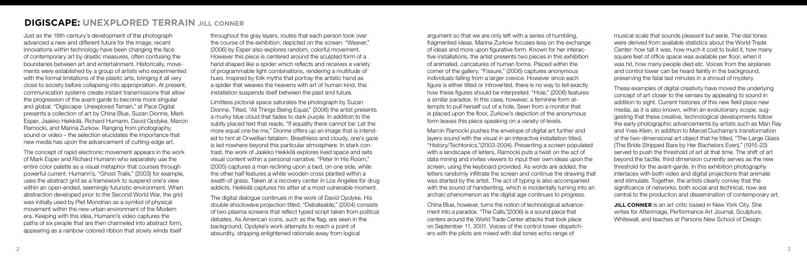Just as the 19th-century's development of the photograph advanced a new and different future for the image, recent innovations within technology have been changing the face of contemporary art by drastic measures, often confusing the boundaries between art and entertainment. Historically, movements were established by a group of artists who experimented with the formal limitations of the plastic arts, bringing it all very close to society before collapsing into appropriation. At present, communication systems create instant transmissions that allow the progression of the avant-garde to become more singular and global. "Digiscape: Unexplored Terrain," at Pace Digital presents a collection of art by China Blue, Suzan Dionne, Mark Esper, Jaakko Heikkilä, Richard Humann, David Opdyke, Marcin Ramocki, and Marina Zurkow. Ranging from photography, sound or video – the selection elucidates the importance that new media has upon the advancement of cutting-edge art.

The concept of rapid electronic movement appears in the work of Mark Esper and Richard Humann who separately use the entire color palette as a visual metaphor that courses through powerful current. Humann's, "Ghost Trails," (2003) for example, uses the abstract grid as a framework to suspend one's view within an open-ended, seemingly futuristic environment. When abstraction developed prior to the Second World War, the grid was initially used by Piet Mondrian as a symbol of physical movement within the new urban environment of the Modern era. Keeping with this idea, Humann's video captures the paths of six people that are then channeled into abstract form, appearing as a rainbow colored ribbon that slowly winds itself

throughout the gray layers, routes that each person took over the course of the exhibition, depicted on the screen. "Weaver," (2006) by Esper also explores random, colorful movement. However this piece is centered around the sculpted form of a hand shaped like a spider which reflects and receives a variety of programmable light combinations, rendering a multitude of hues. Inspired by folk myths that portray the artistic hand as a spider that weaves the heavens with art of human kind, this installation suspends itself between the past and future.

Limitless pictorial space saturates the photograph by Suzan Dionne. Titled, "All Things Being Equal," (2006) the artist presents a murky blue cloud that fades to dark purple. In addition to the subtly placed text that reads, "If equality there cannot be: Let the more equal one be me," Dionne offers up an image that is intended to hint at Orwellian fatalism. Breathless and cloudy, one's gaze is led nowhere beyond this particular atmosphere. In stark contrast, the work of Jaakko Heikkilä explores lived space and sets visual content within a personal narrative. "Peter In His Room," (2005) captures a man reclining upon a bed, on one side, while the other half features a white wooden cross planted within a swath of grass. Taken at a recovery center in Los Angeles for drug addicts, Heikkilä captures his sitter at a most vulnerable moment.

The digital dialogue continues in the work of David Opdyke. His double shockwave projection titled, "Debateable," (2004) consists of two plasma screens that reflect typed script taken from political debates. As American icons, such as the flag, are seen in the background, Opdyke's work attempts to reach a point of absurdity, stripping enlightened rationale away from logical

**JILL CONNER** is an art critic based in New York City. She writes for Afterimage, Performance Art Journal, Sculpture, Whitewall, and teaches at Parsons New School of Design.

argument so that we are only left with a series of humbling, fragmented ideas. Marina Zurkow focuses less on the exchange of ideas and more upon figurative form. Known for her interactive installations, the artist presents two pieces in this exhibition of animated, caricatures of human forms. Placed within the corner of the gallery, "Fissure," (2006) captures anonymous individuals falling from a larger crevice. However since each figure is either tilted or introverted, there is no way to tell exactly how these figures should be interpreted. "Hole," (2006) features a similar paradox. In this case, however, a feminine form attempts to pull herself out of a hole. Seen from a monitor that is placed upon the floor, Zurkow's depiction of the anonymous form leaves this piece speaking on a variety of levels.

Marcin Ramocki pushes the envelope of digital art further and layers sound with the visual in an interactive installation titled, "History/Techtonics,"(2003-2004). Presenting a screen populated with a landscape of letters, Ramocki puts a twist on the act of data mining and invites viewers to input their own ideas upon the screen, using the keyboard provided. As words are added, the letters randomly infiltrate the screen and continue the drawing that was started by the artist. The act of typing is also accompanied with the sound of handwriting, which is incidentally turning into an archaic phenomenon as the digital age continues to progress.

China Blue, however, turns the notion of technological advancement into a paradox. "The Calls,"(2006) is a sound piece that centers around the World Trade Center attacks that took place on September 11, 2001. Voices of the control tower dispatchers with the pilots are mixed with dial tones echo range of

musical scale that sounds pleasant but eerie. The dial tones were derived from available statistics about the World Trade Center: how tall it was, how much it cost to build it, how many square feet of office space was available per floor, when it was hit, how many people died etc. Voices from the airplanes and control tower can be heard faintly in the background, preserving the fatal last minutes in a shroud of mystery.

These examples of digital creativity have moved the underlying concept of art closer to the senses by appealing to sound in addition to sight. Current histories of this new field place new media, as it is also known, within an evolutionary scope, suggesting that these creative, technological developments follow the early photographic advancements by artists such as Man Ray and Yves Klein, in addition to Marcel Duchamp's transformation of the two-dimensional art object that he titled, "The Large Glass (The Bride Stripped Bare by Her Bachelors Even)," (1915-23) served to push the threshold of art at that time. The shift of art beyond the tactile, third dimension currently serves as the new threshold for the avant-garde. In this exhibition photography interlaces with both video and digital projections that animate and stimulate. Together, the artists clearly convey that the significance of networks, both social and technical, now are central to the production and dissemination of contemporary art.

# **DIGISCAPE: UNEXPLORED TERRAIN JILL CONNER**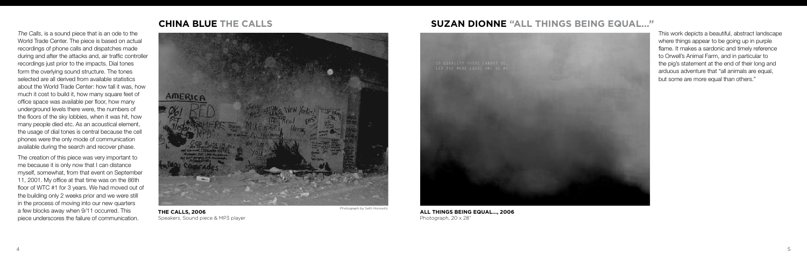## *The Calls*, is a sound piece that is an ode to the World Trade Center. The piece is based on actual recordings of phone calls and dispatches made during and after the attacks and, air traffic controller recordings just prior to the impacts. Dial tones form the overlying sound structure. The tones selected are all derived from available statistics about the World Trade Center: how tall it was, how much it cost to build it, how many square feet of office space was available per floor, how many underground levels there were, the numbers of the floors of the sky lobbies, when it was hit, how many people died etc. As an acoustical element, the usage of dial tones is central because the cell phones were the only mode of communication available during the search and recover phase.

**SUZAN DIONNE "All Things Being Equal..."**



**All things being equal..., 2006** Photograph, 20 x 28"



The creation of this piece was very important to me because it is only now that I can distance myself, somewhat, from that event on September 11, 2001. My office at that time was on the 86th floor of WTC #1 for 3 years. We had moved out of the building only 2 weeks prior and we were still in the process of moving into our new quarters a few blocks away when 9/11 occurred. This piece underscores the failure of communication.

This work depicts a beautiful, abstract landscape where things appear to be going up in purple flame. It makes a sardonic and timely reference to Orwell's Animal Farm, and in particular to the pig's statement at the end of their long and arduous adventure that "all animals are equal, but some are more equal than others."

# **CHINA BLUE THE CALLS**



**The Calls, 2006** Speakers, Sound piece & MP3 player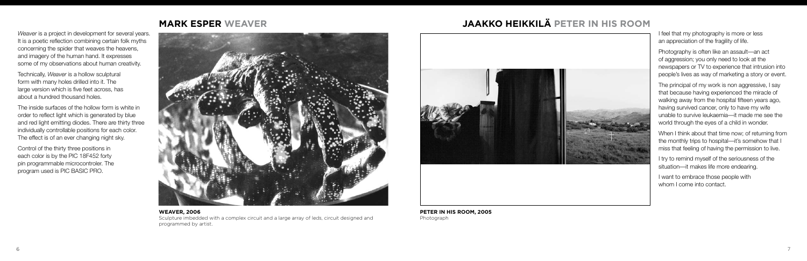# **Mark Esper Weaver Jaakko Heikkilä Peter in his Room**

I feel that my photography is more or less an appreciation of the fragility of life.

Photography is often like an assault—an act of aggression; you only need to look at the newspapers or TV to experience that intrusion into people's lives as way of marketing a story or event.

The principal of my work is non aggressive, I say that because having experienced the miracle of walking away from the hospital fifteen years ago, having survived cancer, only to have my wife unable to survive leukaemia—it made me see the world through the eyes of a child in wonder.

When I think about that time now; of returning from the monthly trips to hospital—it's somehow that I miss that feeling of having the permission to live.

I try to remind myself of the seriousness of the situation—it makes life more endearing.

I want to embrace those people with whom I come into contact.

*Weaver* is a project in development for several years. It is a poetic reflection combining certain folk myths concerning the spider that weaves the heavens, and imagery of the human hand. It expresses some of my observations about human creativity.

Technically, *Weaver* is a hollow sculptural form with many holes drilled into it. The large version which is five feet across, has about a hundred thousand holes.

The inside surfaces of the hollow form is white in order to reflect light which is generated by blue and red light emitting diodes. There are thirty three individually controllable positions for each color. The effect is of an ever changing night sky.

Control of the thirty three positions in each color is by the PIC 18F452 forty pin programmable microcontroler. The program used is PIC BASIC PRO.





**Peter In His Room, 2005** Photograph

## **Weaver, 2006** Sculpture imbedded with a complex circuit and a large array of leds, circuit designed and programmed by artist.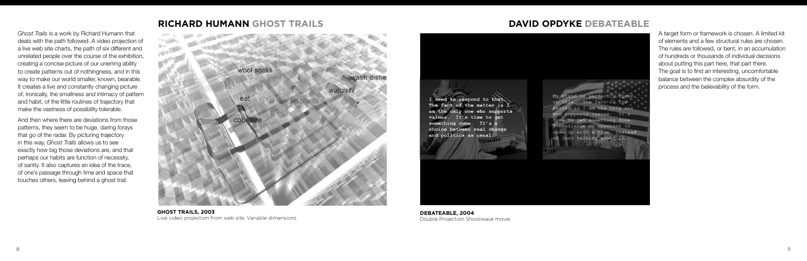## **Richard Humann Ghost Trails**

*Ghost Trails* is a work by Richard Humann that deals with the path followed. A video projection of a live web site charts, the path of six different and unrelated people over the course of the exhibition, creating a concise picture of our unerring ability to create patterns out of nothingness, and in this way to make our world smaller, known, bearable. It creates a live and constantly changing picture of, ironically, the smallness and intimacy of pattern and habit, of the little routines of trajectory that make the vastness of possibility tolerable.

And then where there are deviations from those patterns, they seem to be huge, daring forays that go of the radar. By picturing trajectory in this way, *Ghost Trails* allows us to see exactly how big those deviations are, and that perhaps our habits are function of necessity, of sanity. It also captures an idea of the trace, of one's passage through time and space that touches others, leaving behind a ghost trail.



**Ghost Trails, 2003** Live video projection from web site. Variable dimensions.

# **David Opdyke Debateable**

I need to respond to that. The fact of the matter is I am the only one who supports values. It's time to get something done. It's a choice between real change and politics as usual.

A target form or framework is chosen. A limited kit of elements and a few structural rules are chosen. The rules are followed, or bent, in an accumulation of hundreds or thousands of individual decisions about putting this part here, that part there. The goal is to find an interesting, uncomfortable balance between the complex absurdity of the process and the believability of the form.

**Debateable, 2004** Double Projection Shockwave movie

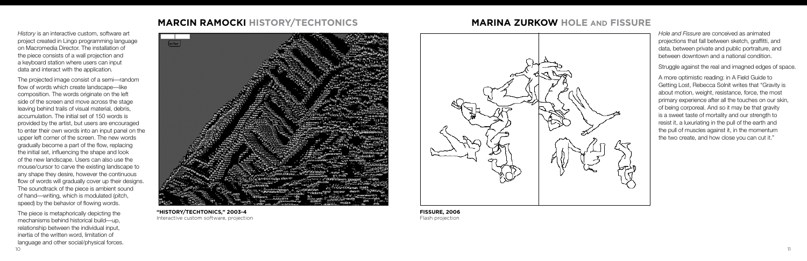# **Marcin Ramocki History/Techtonics**

*History* is an interactive custom, software art project created in Lingo programming language on Macromedia Director. The installation of the piece consists of a wall projection and a keyboard station where users can input data and interact with the application.

10 IO The piece is metaphorically depicting the mechanisms behind historical build—up, relationship between the individual input, inertia of the written word, limitation of language and other social/physical forces.



The projected image consist of a semi—random flow of words which create landscape—like composition. The words originate on the left side of the screen and move across the stage leaving behind trails of visual material, debris, accumulation. The initial set of 150 words is provided by the artist, but users are encouraged to enter their own words into an input panel on the upper left corner of the screen. The new words gradually become a part of the flow, replacing the initial set, influencing the shape and look of the new landscape. Users can also use the mouse/cursor to carve the existing landscape to any shape they desire, however the continuous flow of words will gradually cover up their designs. The soundtrack of the piece is ambient sound of hand—writing, which is modulated (pitch, speed) by the behavior of flowing words.



**FISSURE, 2006** Flash projection

# **Marina ZUrkow HOLE and FISSURE**

*Hole and Fissure* are conceived as animated projections that fall between sketch, graffitti, and data, between private and public portraiture, and between downtown and a national condition.

Struggle against the real and imagned edges of space.

A more optimistic reading: in A Field Guide to Getting Lost, Rebecca Solnit writes that "Gravity is about motion, weight, resistance, force, the most primary experience after all the touches on our skin, of being corporeal. And so it may be that gravity is a sweet taste of mortality and our strength to resist it, a luxuriating in the pull of the earth and the pull of muscles against it, in the momentum the two create, and how close you can cut it."

## **"History/Techtonics," 2003-4** Interactive custom software, projection